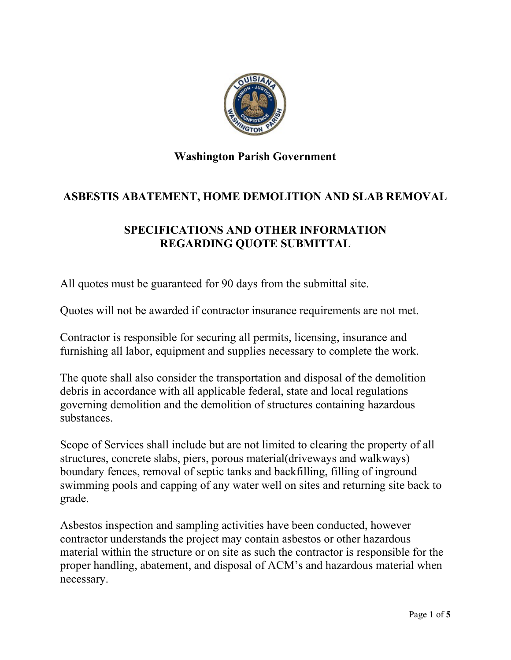

# **ASBESTIS ABATEMENT, HOME DEMOLITION AND SLAB REMOVAL**

### **SPECIFICATIONS AND OTHER INFORMATION REGARDING QUOTE SUBMITTAL**

All quotes must be guaranteed for 90 days from the submittal site.

Quotes will not be awarded if contractor insurance requirements are not met.

Contractor is responsible for securing all permits, licensing, insurance and furnishing all labor, equipment and supplies necessary to complete the work.

The quote shall also consider the transportation and disposal of the demolition debris in accordance with all applicable federal, state and local regulations governing demolition and the demolition of structures containing hazardous substances.

Scope of Services shall include but are not limited to clearing the property of all structures, concrete slabs, piers, porous material(driveways and walkways) boundary fences, removal of septic tanks and backfilling, filling of inground swimming pools and capping of any water well on sites and returning site back to grade.

Asbestos inspection and sampling activities have been conducted, however contractor understands the project may contain asbestos or other hazardous material within the structure or on site as such the contractor is responsible for the proper handling, abatement, and disposal of ACM's and hazardous material when necessary.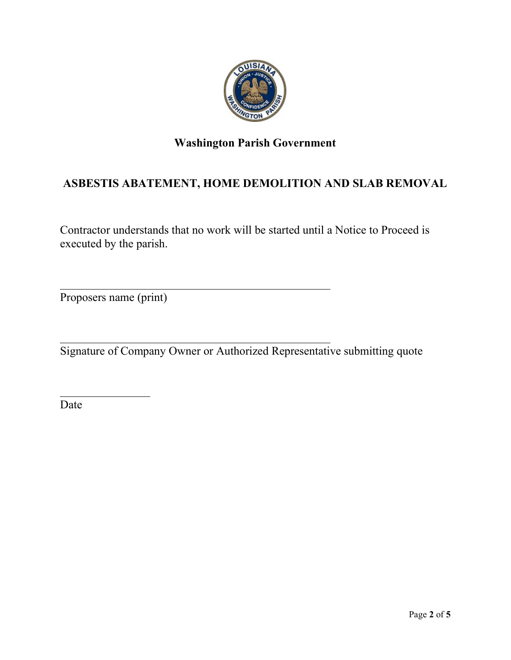

# **ASBESTIS ABATEMENT, HOME DEMOLITION AND SLAB REMOVAL**

Contractor understands that no work will be started until a Notice to Proceed is executed by the parish.

Proposers name (print)

Signature of Company Owner or Authorized Representative submitting quote

Date

 $\overline{\phantom{a}}$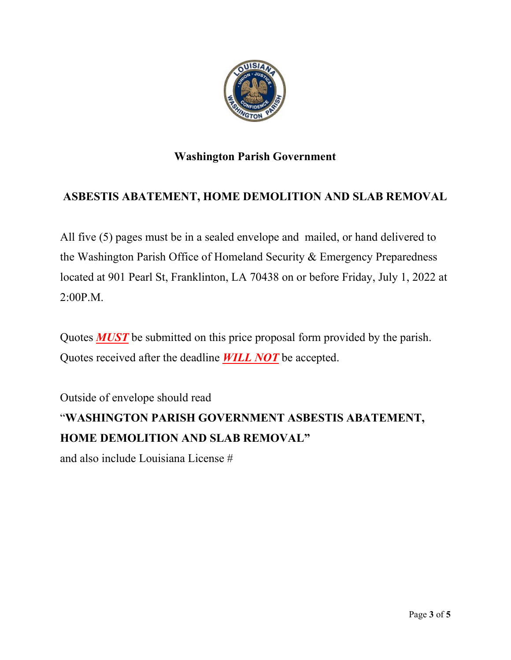

#### **ASBESTIS ABATEMENT, HOME DEMOLITION AND SLAB REMOVAL**

All five (5) pages must be in a sealed envelope and mailed, or hand delivered to the Washington Parish Office of Homeland Security & Emergency Preparedness located at 901 Pearl St, Franklinton, LA 70438 on or before Friday, July 1, 2022 at 2:00P.M.

Quotes *MUST* be submitted on this price proposal form provided by the parish. Quotes received after the deadline *WILL NOT* be accepted.

Outside of envelope should read

# "**WASHINGTON PARISH GOVERNMENT ASBESTIS ABATEMENT, HOME DEMOLITION AND SLAB REMOVAL"**

and also include Louisiana License #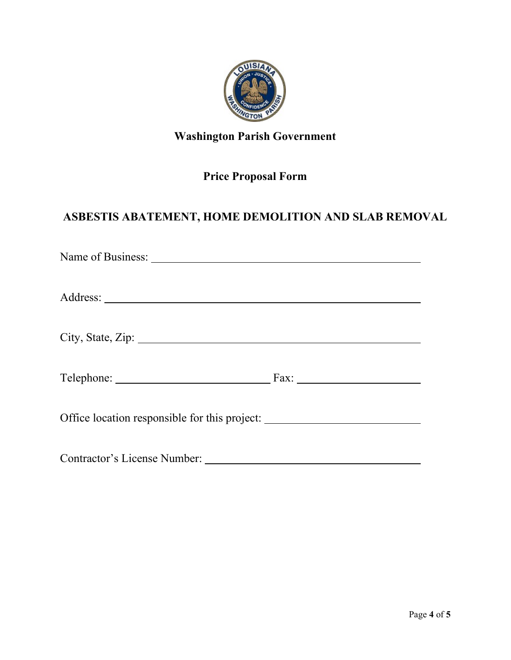

# **Price Proposal Form**

# **ASBESTIS ABATEMENT, HOME DEMOLITION AND SLAB REMOVAL**

| Office location responsible for this project: __________________________________ |  |
|----------------------------------------------------------------------------------|--|
| Contractor's License Number:                                                     |  |